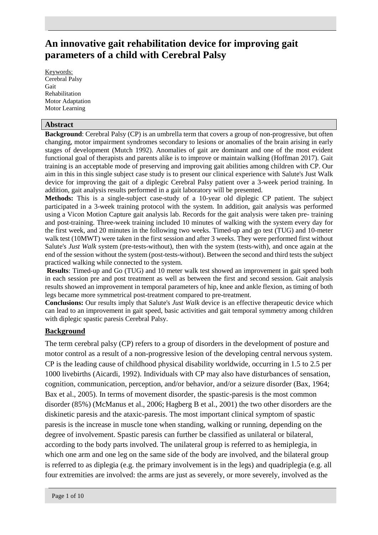# **An innovative gait rehabilitation device for improving gait parameters of a child with Cerebral Palsy**

Keywords: Cerebral Palsy Gait Rehabilitation Motor Adaptation Motor Learning

#### **Abstract**

**Background**: Cerebral Palsy (CP) is an umbrella term that covers a group of non-progressive, but often changing, motor impairment syndromes secondary to lesions or anomalies of the brain arising in early stages of development (Mutch 1992). Anomalies of gait are dominant and one of the most evident functional goal of therapists and parents alike is to improve or maintain walking (Hoffman 2017). Gait training is an acceptable mode of preserving and improving gait abilities among children with CP. Our aim in this in this single subject case study is to present our clinical experience with Salute's Just Walk device for improving the gait of a diplegic Cerebral Palsy patient over a 3-week period training. In addition, gait analysis results performed in a gait laboratory will be presented.

**Methods:** This is a single-subject case-study of a 10-year old diplegic CP patient. The subject participated in a 3-week training protocol with the system. In addition, gait analysis was performed using a Vicon Motion Capture gait analysis lab. Records for the gait analysis were taken pre- training and post-training. Three-week training included 10 minutes of walking with the system every day for the first week, and 20 minutes in the following two weeks. Timed-up and go test (TUG) and 10-meter walk test (10MWT) were taken in the first session and after 3 weeks. They were performed first without Salute's *Just Walk* system (pre-tests-without), then with the system (tests-with), and once again at the end of the session without the system (post-tests-without). Between the second and third tests the subject practiced walking while connected to the system.

**Results**: Timed-up and Go (TUG) and 10 meter walk test showed an improvement in gait speed both in each session pre and post treatment as well as between the first and second session. Gait analysis results showed an improvement in temporal parameters of hip, knee and ankle flexion, as timing of both legs became more symmetrical post-treatment compared to pre-treatment.

**Conclusions:** Our results imply that Salute's *Just Walk* device is an effective therapeutic device which can lead to an improvement in gait speed, basic activities and gait temporal symmetry among children with diplegic spastic paresis Cerebral Palsy.

### **Background**

The term cerebral palsy (CP) refers to a group of disorders in the development of posture and motor control as a result of a non-progressive lesion of the developing central nervous system. CP is the leading cause of childhood physical disability worldwide, occurring in 1.5 to 2.5 per 1000 livebirths (Aicardi, 1992). Individuals with CP may also have disturbances of sensation, cognition, communication, perception, and/or behavior, and/or a seizure disorder (Bax, 1964; Bax et al., 2005). In terms of movement disorder, the spastic-paresis is the most common disorder (85%) (McManus et al., 2006; Hagberg B et al., 2001) the two other disorders are the diskinetic paresis and the ataxic-paresis. The most important clinical symptom of spastic paresis is the increase in muscle tone when standing, walking or running, depending on the degree of involvement. Spastic paresis can further be classified as unilateral or bilateral, according to the body parts involved. The unilateral group is referred to as hemiplegia, in which one arm and one leg on the same side of the body are involved, and the bilateral group is referred to as diplegia (e.g. the primary involvement is in the legs) and quadriplegia (e.g. all four extremities are involved: the arms are just as severely, or more severely, involved as the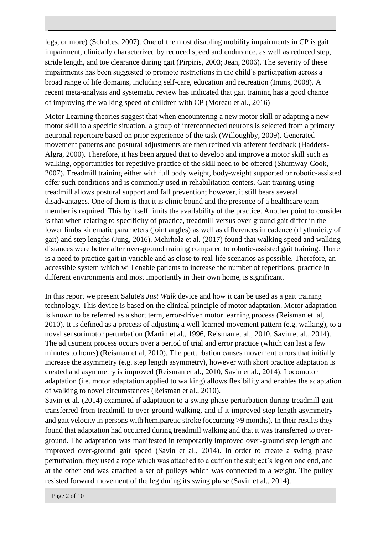legs, or more) (Scholtes, 2007). One of the most disabling mobility impairments in CP is gait impairment, clinically characterized by reduced speed and endurance, as well as reduced step, stride length, and toe clearance during gait (Pirpiris, 2003; Jean, 2006). The severity of these impairments has been suggested to promote restrictions in the child's participation across a broad range of life domains, including self-care, education and recreation (Imms, 2008). A recent meta-analysis and systematic review has indicated that gait training has a good chance of improving the walking speed of children with CP (Moreau et al., 2016)

Motor Learning theories suggest that when encountering a new motor skill or adapting a new motor skill to a specific situation, a group of interconnected neurons is selected from a primary neuronal repertoire based on prior experience of the task (Willoughby, 2009). Generated movement patterns and postural adjustments are then refined via afferent feedback (Hadders-Algra, 2000). Therefore, it has been argued that to develop and improve a motor skill such as walking, opportunities for repetitive practice of the skill need to be offered (Shumway-Cook, 2007). Treadmill training either with full body weight, body-weight supported or robotic-assisted offer such conditions and is commonly used in rehabilitation centers. Gait training using treadmill allows postural support and fall prevention; however, it still bears several disadvantages. One of them is that it is clinic bound and the presence of a healthcare team member is required. This by itself limits the availability of the practice. Another point to consider is that when relating to specificity of practice, treadmill versus over-ground gait differ in the lower limbs kinematic parameters (joint angles) as well as differences in cadence (rhythmicity of gait) and step lengths (Jung, 2016). Mehrholz et al. (2017) found that walking speed and walking distances were better after over-ground training compared to robotic-assisted gait training. There is a need to practice gait in variable and as close to real-life scenarios as possible. Therefore, an accessible system which will enable patients to increase the number of repetitions, practice in different environments and most importantly in their own home, is significant.

In this report we present Salute's *Just Walk* device and how it can be used as a gait training technology. This device is based on the clinical principle of motor adaptation. Motor adaptation is known to be referred as a short term, error-driven motor learning process (Reisman et. al, 2010). It is defined as a process of adjusting a well-learned movement pattern (e.g. walking), to a novel sensorimotor perturbation (Martin et al., 1996, Reisman et al., 2010, Savin et al., 2014). The adjustment process occurs over a period of trial and error practice (which can last a few minutes to hours) (Reisman et al, 2010). The perturbation causes movement errors that initially increase the asymmetry (e.g. step length asymmetry), however with short practice adaptation is created and asymmetry is improved (Reisman et al., 2010, Savin et al., 2014). Locomotor adaptation (i.e. motor adaptation applied to walking) allows flexibility and enables the adaptation of walking to novel circumstances (Reisman et al., 2010).

Savin et al. (2014) examined if adaptation to a swing phase perturbation during treadmill gait transferred from treadmill to over-ground walking, and if it improved step length asymmetry and gait velocity in persons with hemiparetic stroke (occurring >9 months). In their results they found that adaptation had occurred during treadmill walking and that it was transferred to overground. The adaptation was manifested in temporarily improved over-ground step length and improved over-ground gait speed (Savin et al., 2014). In order to create a swing phase perturbation, they used a rope which was attached to a cuff on the subject's leg on one end, and at the other end was attached a set of pulleys which was connected to a weight. The pulley resisted forward movement of the leg during its swing phase (Savin et al., 2014).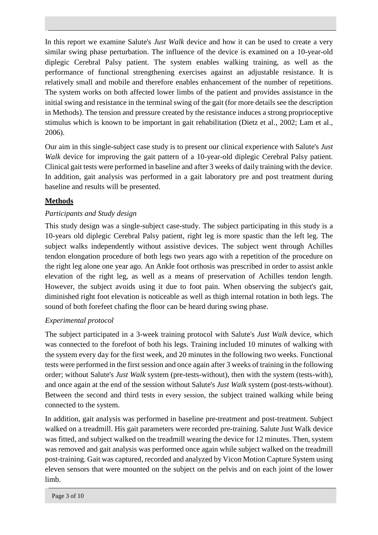In this report we examine Salute's *Just Walk* device and how it can be used to create a very similar swing phase perturbation. The influence of the device is examined on a 10-year-old diplegic Cerebral Palsy patient. The system enables walking training, as well as the performance of functional strengthening exercises against an adjustable resistance. It is relatively small and mobile and therefore enables enhancement of the number of repetitions. The system works on both affected lower limbs of the patient and provides assistance in the initial swing and resistance in the terminal swing of the gait (for more details see the description in Methods). The tension and pressure created by the resistance induces a strong proprioceptive stimulus which is known to be important in gait rehabilitation (Dietz et al., 2002; Lam et al., 2006).

Our aim in this single-subject case study is to present our clinical experience with Salute's *Just Walk* device for improving the gait pattern of a 10-year-old diplegic Cerebral Palsy patient. Clinical gait tests were performed in baseline and after 3 weeks of daily training with the device. In addition, gait analysis was performed in a gait laboratory pre and post treatment during baseline and results will be presented.

## **Methods**

# *Participants and Study design*

This study design was a single-subject case-study. The subject participating in this study is a 10-years old diplegic Cerebral Palsy patient, right leg is more spastic than the left leg. The subject walks independently without assistive devices. The subject went through Achilles tendon elongation procedure of both legs two years ago with a repetition of the procedure on the right leg alone one year ago. An Ankle foot orthosis was prescribed in order to assist ankle elevation of the right leg, as well as a means of preservation of Achilles tendon length. However, the subject avoids using it due to foot pain. When observing the subject's gait, diminished right foot elevation is noticeable as well as thigh internal rotation in both legs. The sound of both forefeet chafing the floor can be heard during swing phase.

# *Experimental protocol*

The subject participated in a 3-week training protocol with Salute's *Just Walk* device, which was connected to the forefoot of both his legs. Training included 10 minutes of walking with the system every day for the first week, and 20 minutes in the following two weeks. Functional tests were performed in the first session and once again after 3 weeks of training in the following order; without Salute's *Just Walk* system (pre-tests-without), then with the system (tests-with), and once again at the end of the session without Salute's *Just Walk* system (post-tests-without). Between the second and third tests in every session, the subject trained walking while being connected to the system.

In addition, gait analysis was performed in baseline pre-treatment and post-treatment. Subject walked on a treadmill. His gait parameters were recorded pre-training. Salute Just Walk device was fitted, and subject walked on the treadmill wearing the device for 12 minutes. Then, system was removed and gait analysis was performed once again while subject walked on the treadmill post-training. Gait was captured, recorded and analyzed by Vicon Motion Capture System using eleven sensors that were mounted on the subject on the pelvis and on each joint of the lower limb.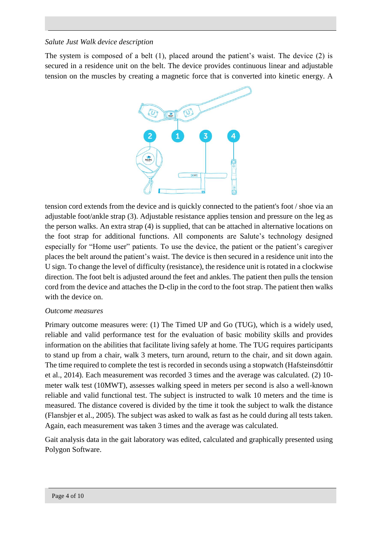### *Salute Just Walk device description*

The system is composed of a belt (1), placed around the patient's waist. The device (2) is secured in a residence unit on the belt. The device provides continuous linear and adjustable tension on the muscles by creating a magnetic force that is converted into kinetic energy. A



tension cord extends from the device and is quickly connected to the patient's foot / shoe via an adjustable foot/ankle strap (3). Adjustable resistance applies tension and pressure on the leg as the person walks. An extra strap (4) is supplied, that can be attached in alternative locations on the foot strap for additional functions. All components are Salute's technology designed especially for "Home user" patients. To use the device, the patient or the patient's caregiver places the belt around the patient's waist. The device is then secured in a residence unit into the U sign. To change the level of difficulty (resistance), the residence unit is rotated in a clockwise direction. The foot belt is adjusted around the feet and ankles. The patient then pulls the tension cord from the device and attaches the D-clip in the cord to the foot strap. The patient then walks with the device on.

### *Outcome measures*

Primary outcome measures were: (1) The Timed UP and Go (TUG), which is a widely used, reliable and valid performance test for the evaluation of basic mobility skills and provides information on the abilities that facilitate living safely at home. The TUG requires participants to stand up from a chair, walk 3 meters, turn around, return to the chair, and sit down again. The time required to complete the test is recorded in seconds using a stopwatch (Hafsteinsdóttir et al., 2014). Each measurement was recorded 3 times and the average was calculated. (2) 10 meter walk test (10MWT), assesses walking speed in meters per second is also a well-known reliable and valid functional test. The subject is instructed to walk 10 meters and the time is measured. The distance covered is divided by the time it took the subject to walk the distance (Flansbjer et al., 2005). The subject was asked to walk as fast as he could during all tests taken. Again, each measurement was taken 3 times and the average was calculated.

Gait analysis data in the gait laboratory was edited, calculated and graphically presented using Polygon Software.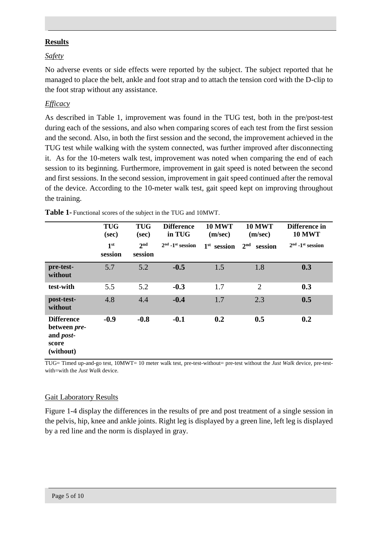#### **Results**

### *Safety*

No adverse events or side effects were reported by the subject. The subject reported that he managed to place the belt, ankle and foot strap and to attach the tension cord with the D-clip to the foot strap without any assistance.

### *Efficacy*

As described in Table 1, improvement was found in the TUG test, both in the pre/post-test during each of the sessions, and also when comparing scores of each test from the first session and the second. Also, in both the first session and the second, the improvement achieved in the TUG test while walking with the system connected, was further improved after disconnecting it. As for the 10-meters walk test, improvement was noted when comparing the end of each session to its beginning. Furthermore, improvement in gait speed is noted between the second and first sessions. In the second session, improvement in gait speed continued after the removal of the device. According to the 10-meter walk test, gait speed kept on improving throughout the training.

|                                                                              | <b>TUG</b><br>(sec)        | <b>TUG</b><br>(sec)        | <b>Difference</b><br>in TUG    | <b>10 MWT</b><br>(m/sec) | <b>10 MWT</b><br>(m/sec)   | Difference in<br><b>10 MWT</b> |
|------------------------------------------------------------------------------|----------------------------|----------------------------|--------------------------------|--------------------------|----------------------------|--------------------------------|
|                                                                              | 1 <sup>st</sup><br>session | 2 <sup>nd</sup><br>session | $2nd$ -1 <sup>st</sup> session | $1st$ session            | 2 <sup>nd</sup><br>session | $2nd$ -1 <sup>st</sup> session |
| pre-test-<br>without                                                         | 5.7                        | 5.2                        | $-0.5$                         | 1.5                      | 1.8                        | 0.3                            |
| test-with                                                                    | 5.5                        | 5.2                        | $-0.3$                         | 1.7                      | $\overline{2}$             | 0.3                            |
| post-test-<br>without                                                        | 4.8                        | 4.4                        | $-0.4$                         | 1.7                      | 2.3                        | 0.5                            |
| <b>Difference</b><br>between pre-<br>and <i>post</i> -<br>score<br>(without) | $-0.9$                     | $-0.8$                     | $-0.1$                         | 0.2                      | 0.5                        | 0.2                            |

**Table 1-** Functional scores of the subject in the TUG and 10MWT.

TUG= Timed up-and-go test, 10MWT= 10 meter walk test, pre-test-without= pre-test without the *Just Walk* device, pre-testwith=with the *Just Walk* device.

#### Gait Laboratory Results

Figure 1-4 display the differences in the results of pre and post treatment of a single session in the pelvis, hip, knee and ankle joints. Right leg is displayed by a green line, left leg is displayed by a red line and the norm is displayed in gray.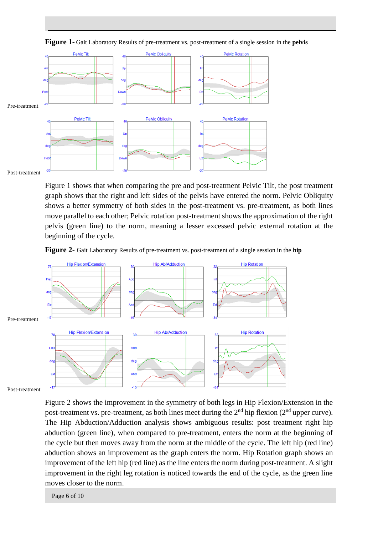

**Figure 1-** Gait Laboratory Results of pre-treatment vs. post-treatment of a single session in the **pelvis** 

Post-treatment

Figure 1 shows that when comparing the pre and post-treatment Pelvic Tilt, the post treatment graph shows that the right and left sides of the pelvis have entered the norm. Pelvic Obliquity shows a better symmetry of both sides in the post-treatment vs. pre-treatment, as both lines move parallel to each other; Pelvic rotation post-treatment shows the approximation of the right pelvis (green line) to the norm, meaning a lesser excessed pelvic external rotation at the beginning of the cycle.





Post-treatment

Figure 2 shows the improvement in the symmetry of both legs in Hip Flexion/Extension in the post-treatment vs. pre-treatment, as both lines meet during the 2<sup>nd</sup> hip flexion (2<sup>nd</sup> upper curve). The Hip Abduction/Adduction analysis shows ambiguous results: post treatment right hip abduction (green line), when compared to pre-treatment, enters the norm at the beginning of the cycle but then moves away from the norm at the middle of the cycle. The left hip (red line) abduction shows an improvement as the graph enters the norm. Hip Rotation graph shows an improvement of the left hip (red line) as the line enters the norm during post-treatment. A slight improvement in the right leg rotation is noticed towards the end of the cycle, as the green line moves closer to the norm.

Page 6 of 10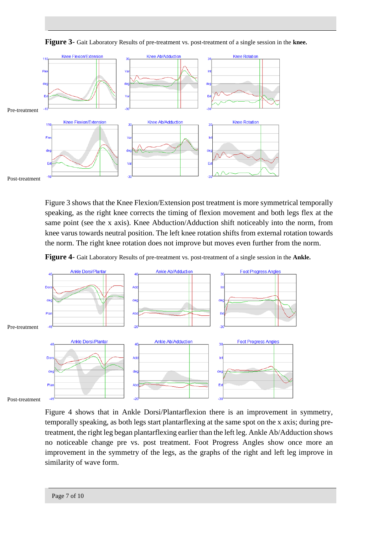

**Figure 3**- Gait Laboratory Results of pre-treatment vs. post-treatment of a single session in the **knee.**

Figure 3 shows that the Knee Flexion/Extension post treatment is more symmetrical temporally speaking, as the right knee corrects the timing of flexion movement and both legs flex at the same point (see the x axis). Knee Abduction/Adduction shift noticeably into the norm, from knee varus towards neutral position. The left knee rotation shifts from external rotation towards the norm. The right knee rotation does not improve but moves even further from the norm.





Post-treatment

Figure 4 shows that in Ankle Dorsi/Plantarflexion there is an improvement in symmetry, temporally speaking, as both legs start plantarflexing at the same spot on the x axis; during pretreatment, the right leg began plantarflexing earlier than the left leg. Ankle Ab/Adduction shows no noticeable change pre vs. post treatment. Foot Progress Angles show once more an improvement in the symmetry of the legs, as the graphs of the right and left leg improve in similarity of wave form.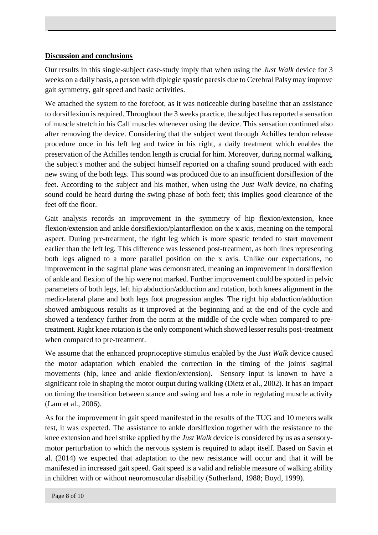### **Discussion and conclusions**

Our results in this single-subject case-study imply that when using the *Just Walk* device for 3 weeks on a daily basis, a person with diplegic spastic paresis due to Cerebral Palsy may improve gait symmetry, gait speed and basic activities.

We attached the system to the forefoot, as it was noticeable during baseline that an assistance to dorsiflexion is required. Throughout the 3 weeks practice, the subject has reported a sensation of muscle stretch in his Calf muscles whenever using the device. This sensation continued also after removing the device. Considering that the subject went through Achilles tendon release procedure once in his left leg and twice in his right, a daily treatment which enables the preservation of the Achilles tendon length is crucial for him. Moreover, during normal walking, the subject's mother and the subject himself reported on a chafing sound produced with each new swing of the both legs. This sound was produced due to an insufficient dorsiflexion of the feet. According to the subject and his mother, when using the *Just Walk* device, no chafing sound could be heard during the swing phase of both feet; this implies good clearance of the feet off the floor.

Gait analysis records an improvement in the symmetry of hip flexion/extension, knee flexion/extension and ankle dorsiflexion/plantarflexion on the x axis, meaning on the temporal aspect. During pre-treatment, the right leg which is more spastic tended to start movement earlier than the left leg. This difference was lessened post-treatment, as both lines representing both legs aligned to a more parallel position on the x axis. Unlike our expectations, no improvement in the sagittal plane was demonstrated, meaning an improvement in dorsiflexion of ankle and flexion of the hip were not marked. Further improvement could be spotted in pelvic parameters of both legs, left hip abduction/adduction and rotation, both knees alignment in the medio-lateral plane and both legs foot progression angles. The right hip abduction/adduction showed ambiguous results as it improved at the beginning and at the end of the cycle and showed a tendency further from the norm at the middle of the cycle when compared to pretreatment. Right knee rotation is the only component which showed lesser results post-treatment when compared to pre-treatment.

We assume that the enhanced proprioceptive stimulus enabled by the *Just Walk* device caused the motor adaptation which enabled the correction in the timing of the joints' sagittal movements (hip, knee and ankle flexion/extension). Sensory input is known to have a significant role in shaping the motor output during walking (Dietz et al., 2002). It has an impact on timing the transition between stance and swing and has a role in regulating muscle activity (Lam et al., 2006).

As for the improvement in gait speed manifested in the results of the TUG and 10 meters walk test, it was expected. The assistance to ankle dorsiflexion together with the resistance to the knee extension and heel strike applied by the *Just Walk* device is considered by us as a sensorymotor perturbation to which the nervous system is required to adapt itself. Based on Savin et al. (2014) we expected that adaptation to the new resistance will occur and that it will be manifested in increased gait speed. Gait speed is a valid and reliable measure of walking ability in children with or without neuromuscular disability (Sutherland, 1988; Boyd, 1999).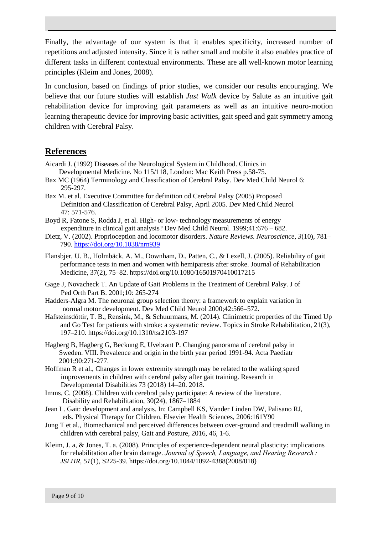Finally, the advantage of our system is that it enables specificity, increased number of repetitions and adjusted intensity. Since it is rather small and mobile it also enables practice of different tasks in different contextual environments. These are all well-known motor learning principles (Kleim and Jones, 2008).

In conclusion, based on findings of prior studies, we consider our results encouraging. We believe that our future studies will establish *Just Walk* device by Salute as an intuitive gait rehabilitation device for improving gait parameters as well as an intuitive neuro-motion learning therapeutic device for improving basic activities, gait speed and gait symmetry among children with Cerebral Palsy.

## **References**

- Aicardi J. (1992) Diseases of the Neurological System in Childhood. Clinics in Developmental Medicine. No 115/118, London: Mac Keith Press p.58-75.
- Bax MC (1964) Terminology and Classification of Cerebral Palsy. Dev Med Child Neurol 6: 295-297.
- Bax M. et al. Executive Committee for definition od Cerebral Palsy (2005) Proposed Definition and Classification of Cerebral Palsy, April 2005. Dev Med Child Neurol 47: 571-576.
- Boyd R, Fatone S, Rodda J, et al. High- or low- technology measurements of energy expenditure in clinical gait analysis? Dev Med Child Neurol. 1999;41:676 – 682.
- Dietz, V. (2002). Proprioception and locomotor disorders. *Nature Reviews. Neuroscience*, *3*(10), 781– 790.<https://doi.org/10.1038/nrn939>
- Flansbjer, U. B., Holmbäck, A. M., Downham, D., Patten, C., & Lexell, J. (2005). Reliability of gait performance tests in men and women with hemiparesis after stroke. Journal of Rehabilitation Medicine, 37(2), 75–82. https://doi.org/10.1080/16501970410017215
- Gage J, Novacheck T. An Update of Gait Problems in the Treatment of Cerebral Palsy. J of Ped Orth Part B. 2001;10: 265-274
- Hadders-Algra M. The neuronal group selection theory: a framework to explain variation in normal motor development. Dev Med Child Neurol 2000;42:566–572.
- Hafsteinsdóttir, T. B., Rensink, M., & Schuurmans, M. (2014). Clinimetric properties of the Timed Up and Go Test for patients with stroke: a systematic review. Topics in Stroke Rehabilitation, 21(3), 197–210. https://doi.org/10.1310/tsr2103-197
- Hagberg B, Hagberg G, Beckung E, Uvebrant P. Changing panorama of cerebral palsy in Sweden. VIII. Prevalence and origin in the birth year period 1991-94. Acta Paediatr 2001;90:271-277.
- Hoffman R et al., Changes in lower extremity strength may be related to the walking speed improvements in children with cerebral palsy after gait training. Research in Developmental Disabilities 73 (2018) 14–20. 2018.
- Imms, C. (2008). Children with cerebral palsy participate: A review of the literature. Disability and Rehabilitation, 30(24), 1867–1884
- Jean L. Gait: development and analysis. In: Campbell KS, Vander Linden DW, Palisano RJ, eds. Physical Therapy for Children. Elsevier Health Sciences, 2006:161Y90
- Jung T et al., Biomechanical and perceived differences between over-ground and treadmill walking in children with cerebral palsy, Gait and Posture, 2016, 46, 1-6.
- Kleim, J. a, & Jones, T. a. (2008). Principles of experience-dependent neural plasticity: implications for rehabilitation after brain damage. *Journal of Speech, Language, and Hearing Research : JSLHR*, *51*(1), S225-39. https://doi.org/10.1044/1092-4388(2008/018)